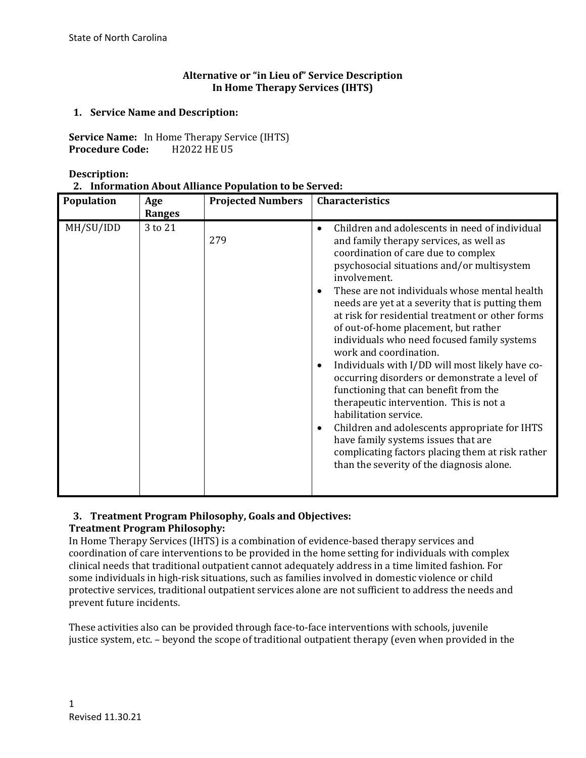## **Alternative or "in Lieu of" Service Description In Home Therapy Services (IHTS)**

## **1. Service Name and Description:**

**Service Name:** In Home Therapy Service (IHTS)<br>**Procedure Code:** H2022 HE U5 **Procedure Code:** 

**Description:**

|  | 2. Information About Alliance Population to be Served: |
|--|--------------------------------------------------------|
|--|--------------------------------------------------------|

| Population | Age<br><b>Ranges</b> | <b>Projected Numbers</b> | <b>Characteristics</b>                                                                                                                                                                                                                                                                                                                                                                                                                                                                                                                                                                                                                                                                                                                                                                                                                                                                                            |
|------------|----------------------|--------------------------|-------------------------------------------------------------------------------------------------------------------------------------------------------------------------------------------------------------------------------------------------------------------------------------------------------------------------------------------------------------------------------------------------------------------------------------------------------------------------------------------------------------------------------------------------------------------------------------------------------------------------------------------------------------------------------------------------------------------------------------------------------------------------------------------------------------------------------------------------------------------------------------------------------------------|
| MH/SU/IDD  | 3 to 21              | 279                      | Children and adolescents in need of individual<br>$\bullet$<br>and family therapy services, as well as<br>coordination of care due to complex<br>psychosocial situations and/or multisystem<br>involvement.<br>These are not individuals whose mental health<br>needs are yet at a severity that is putting them<br>at risk for residential treatment or other forms<br>of out-of-home placement, but rather<br>individuals who need focused family systems<br>work and coordination.<br>Individuals with I/DD will most likely have co-<br>٠<br>occurring disorders or demonstrate a level of<br>functioning that can benefit from the<br>therapeutic intervention. This is not a<br>habilitation service.<br>Children and adolescents appropriate for IHTS<br>$\bullet$<br>have family systems issues that are<br>complicating factors placing them at risk rather<br>than the severity of the diagnosis alone. |

### **3. Treatment Program Philosophy, Goals and Objectives: Treatment Program Philosophy:**

In Home Therapy Services (IHTS) is a combination of evidence-based therapy services and coordination of care interventions to be provided in the home setting for individuals with complex clinical needs that traditional outpatient cannot adequately address in a time limited fashion. For some individuals in high-risk situations, such as families involved in domestic violence or child protective services, traditional outpatient services alone are not sufficient to address the needs and prevent future incidents.

These activities also can be provided through face-to-face interventions with schools, juvenile justice system, etc. – beyond the scope of traditional outpatient therapy (even when provided in the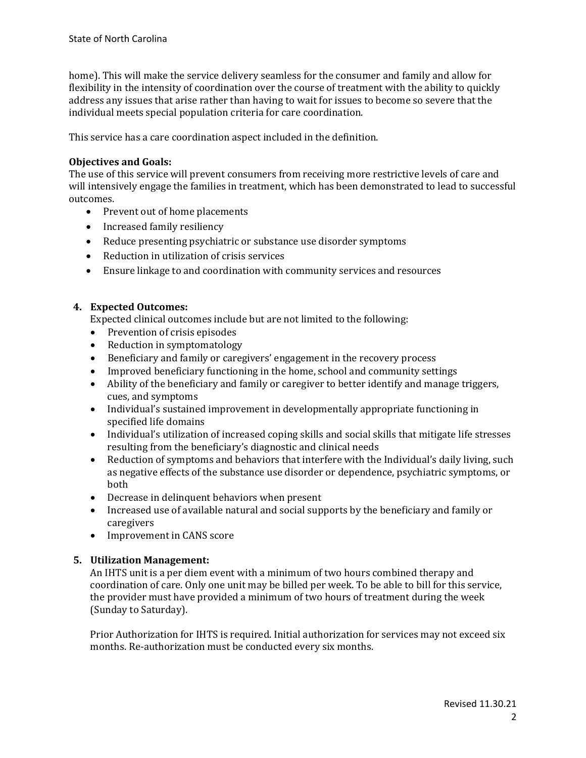home). This will make the service delivery seamless for the consumer and family and allow for flexibility in the intensity of coordination over the course of treatment with the ability to quickly address any issues that arise rather than having to wait for issues to become so severe that the individual meets special population criteria for care coordination.

This service has a care coordination aspect included in the definition.

## **Objectives and Goals:**

The use of this service will prevent consumers from receiving more restrictive levels of care and will intensively engage the families in treatment, which has been demonstrated to lead to successful outcomes.

- Prevent out of home placements
- Increased family resiliency
- Reduce presenting psychiatric or substance use disorder symptoms
- Reduction in utilization of crisis services
- Ensure linkage to and coordination with community services and resources

## **4. Expected Outcomes:**

Expected clinical outcomes include but are not limited to the following:

- Prevention of crisis episodes
- Reduction in symptomatology<br>• Beneficiary and family or cares
- Beneficiary and family or caregivers' engagement in the recovery process
- Improved beneficiary functioning in the home, school and community settings<br>• Ability of the beneficiary and family or caregiver to better identify and manage
- Ability of the beneficiary and family or caregiver to better identify and manage triggers, cues, and symptoms
- Individual's sustained improvement in developmentally appropriate functioning in specified life domains
- Individual's utilization of increased coping skills and social skills that mitigate life stresses resulting from the beneficiary's diagnostic and clinical needs
- Reduction of symptoms and behaviors that interfere with the Individual's daily living, such as negative effects of the substance use disorder or dependence, psychiatric symptoms, or both
- Decrease in delinquent behaviors when present<br>• Increased use of available natural and social sup
- Increased use of available natural and social supports by the beneficiary and family or caregivers
- Improvement in CANS score

## **5. Utilization Management:**

An IHTS unit is a per diem event with a minimum of two hours combined therapy and coordination of care. Only one unit may be billed per week. To be able to bill for this service, the provider must have provided a minimum of two hours of treatment during the week (Sunday to Saturday).

Prior Authorization for IHTS is required. Initial authorization for services may not exceed six months. Re-authorization must be conducted every six months.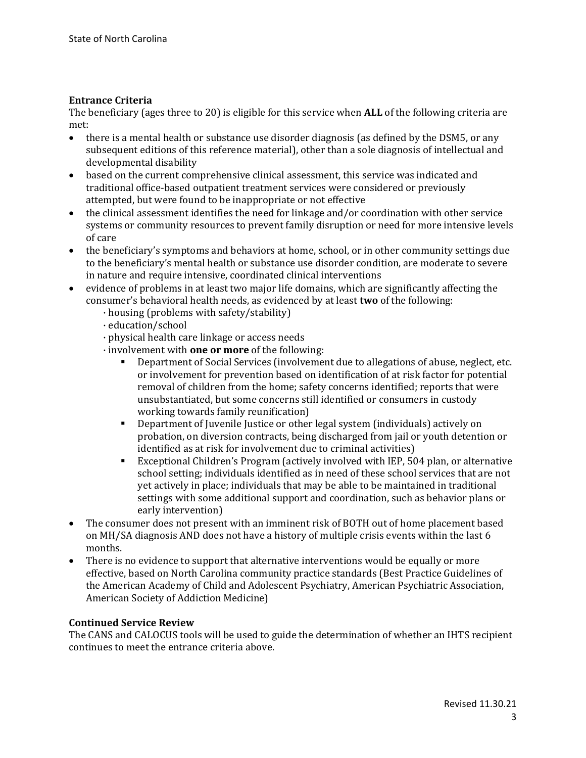## **Entrance Criteria**

The beneficiary (ages three to 20) is eligible for this service when **ALL** of the following criteria are met:<br>• tl

- there is a mental health or substance use disorder diagnosis (as defined by the DSM5, or any subsequent editions of this reference material), other than a sole diagnosis of intellectual and developmental disability
- based on the current comprehensive clinical assessment, this service was indicated and traditional office-based outpatient treatment services were considered or previously attempted, but were found to be inappropriate or not effective
- the clinical assessment identifies the need for linkage and/or coordination with other service systems or community resources to prevent family disruption or need for more intensive levels of care
- the beneficiary's symptoms and behaviors at home, school, or in other community settings due to the beneficiary's mental health or substance use disorder condition, are moderate to severe in nature and require intensive, coordinated clinical interventions
- evidence of problems in at least two major life domains, which are significantly affecting the consumer's behavioral health needs, as evidenced by at least **two** of the following:
	- · housing (problems with safety/stability)
	- · education/school
	- · physical health care linkage or access needs
	- · involvement with **one or more** of the following:
		- Department of Social Services (involvement due to allegations of abuse, neglect, etc. or involvement for prevention based on identification of at risk factor for potential removal of children from the home; safety concerns identified; reports that were unsubstantiated, but some concerns still identified or consumers in custody working towards family reunification)
		- Department of Juvenile Justice or other legal system (individuals) actively on probation, on diversion contracts, being discharged from jail or youth detention or identified as at risk for involvement due to criminal activities)
		- Exceptional Children's Program (actively involved with IEP, 504 plan, or alternative school setting; individuals identified as in need of these school services that are not yet actively in place; individuals that may be able to be maintained in traditional settings with some additional support and coordination, such as behavior plans or early intervention)
- The consumer does not present with an imminent risk of BOTH out of home placement based on MH/SA diagnosis AND does not have a history of multiple crisis events within the last 6 months.
- There is no evidence to support that alternative interventions would be equally or more effective, based on North Carolina community practice standards (Best Practice Guidelines of the American Academy of Child and Adolescent Psychiatry, American Psychiatric Association, American Society of Addiction Medicine)

### **Continued Service Review**

The CANS and CALOCUS tools will be used to guide the determination of whether an IHTS recipient continues to meet the entrance criteria above.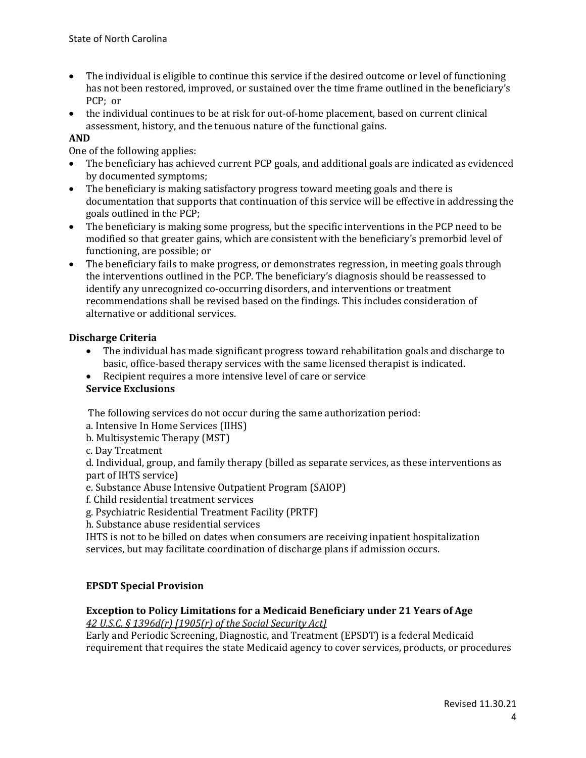- The individual is eligible to continue this service if the desired outcome or level of functioning has not been restored, improved, or sustained over the time frame outlined in the beneficiary's PCP; or
- the individual continues to be at risk for out-of-home placement, based on current clinical assessment, history, and the tenuous nature of the functional gains.

## **AND**

One of the following applies:

- The beneficiary has achieved current PCP goals, and additional goals are indicated as evidenced by documented symptoms;
- The beneficiary is making satisfactory progress toward meeting goals and there is documentation that supports that continuation of this service will be effective in addressing the goals outlined in the PCP;
- The beneficiary is making some progress, but the specific interventions in the PCP need to be modified so that greater gains, which are consistent with the beneficiary's premorbid level of functioning, are possible; or
- The beneficiary fails to make progress, or demonstrates regression, in meeting goals through the interventions outlined in the PCP. The beneficiary's diagnosis should be reassessed to identify any unrecognized co-occurring disorders, and interventions or treatment recommendations shall be revised based on the findings. This includes consideration of alternative or additional services.

### **Discharge Criteria**

- The individual has made significant progress toward rehabilitation goals and discharge to basic, office-based therapy services with the same licensed therapist is indicated.
- Recipient requires a more intensive level of care or service

# **Service Exclusions**

The following services do not occur during the same authorization period:

- a. Intensive In Home Services (IIHS)
- b. Multisystemic Therapy (MST)
- c. Day Treatment

d. Individual, group, and family therapy (billed as separate services, as these interventions as part of IHTS service)

e. Substance Abuse Intensive Outpatient Program (SAIOP)

- f. Child residential treatment services
- g. Psychiatric Residential Treatment Facility (PRTF)
- h. Substance abuse residential services

IHTS is not to be billed on dates when consumers are receiving inpatient hospitalization services, but may facilitate coordination of discharge plans if admission occurs.

## **EPSDT Special Provision**

### **Exception to Policy Limitations for a Medicaid Beneficiary under 21 Years of Age**

*42 U.S.C. § 1396d(r) [1905(r) of the Social Security Act]* 

Early and Periodic Screening, Diagnostic, and Treatment (EPSDT) is a federal Medicaid requirement that requires the state Medicaid agency to cover services, products, or procedures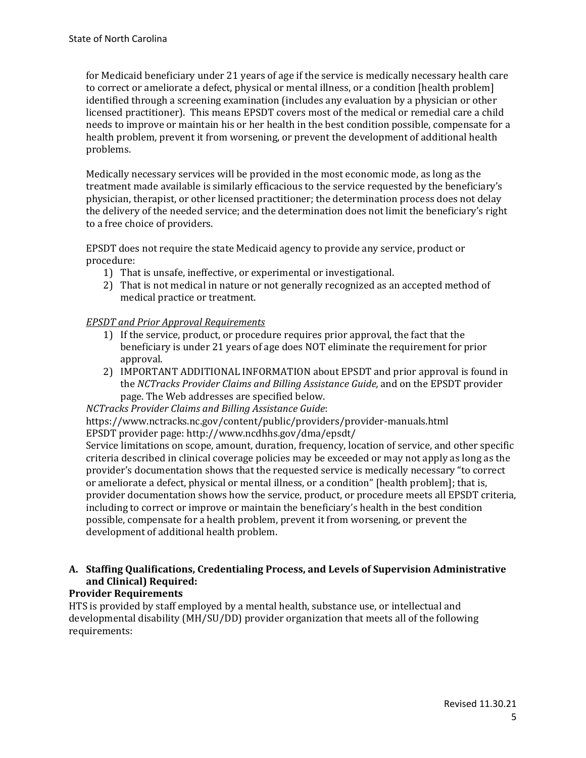for Medicaid beneficiary under 21 years of age if the service is medically necessary health care to correct or ameliorate a defect, physical or mental illness, or a condition [health problem] identified through a screening examination (includes any evaluation by a physician or other licensed practitioner). This means EPSDT covers most of the medical or remedial care a child needs to improve or maintain his or her health in the best condition possible, compensate for a health problem, prevent it from worsening, or prevent the development of additional health problems.

Medically necessary services will be provided in the most economic mode, as long as the treatment made available is similarly efficacious to the service requested by the beneficiary's physician, therapist, or other licensed practitioner; the determination process does not delay the delivery of the needed service; and the determination does not limit the beneficiary's right to a free choice of providers.

EPSDT does not require the state Medicaid agency to provide any service, product or procedure:

- 1) That is unsafe, ineffective, or experimental or investigational.
- 2) That is not medical in nature or not generally recognized as an accepted method of medical practice or treatment.

## *EPSDT and Prior Approval Requirements*

- 1) If the service, product, or procedure requires prior approval, the fact that the beneficiary is under 21 years of age does NOT eliminate the requirement for prior approval.
- 2) IMPORTANT ADDITIONAL INFORMATION about EPSDT and prior approval is found in the *NCTracks Provider Claims and Billing Assistance Guide,* and on the EPSDT provider page. The Web addresses are specified below.

*NCTracks Provider Claims and Billing Assistance Guide*:

https://www.nctracks.nc.gov/content/public/providers/provider-manuals.html EPSDT provider page: http://www.ncdhhs.gov/dma/epsdt/

Service limitations on scope, amount, duration, frequency, location of service, and other specific criteria described in clinical coverage policies may be exceeded or may not apply as long as the provider's documentation shows that the requested service is medically necessary "to correct or ameliorate a defect, physical or mental illness, or a condition" [health problem]; that is, provider documentation shows how the service, product, or procedure meets all EPSDT criteria, including to correct or improve or maintain the beneficiary's health in the best condition possible, compensate for a health problem, prevent it from worsening, or prevent the development of additional health problem.

# **A. Staffing Qualifications, Credentialing Process, and Levels of Supervision Administrative and Clinical) Required:**

# **Provider Requirements**

HTS is provided by staff employed by a mental health, substance use, or intellectual and developmental disability (MH/SU/DD) provider organization that meets all of the following requirements: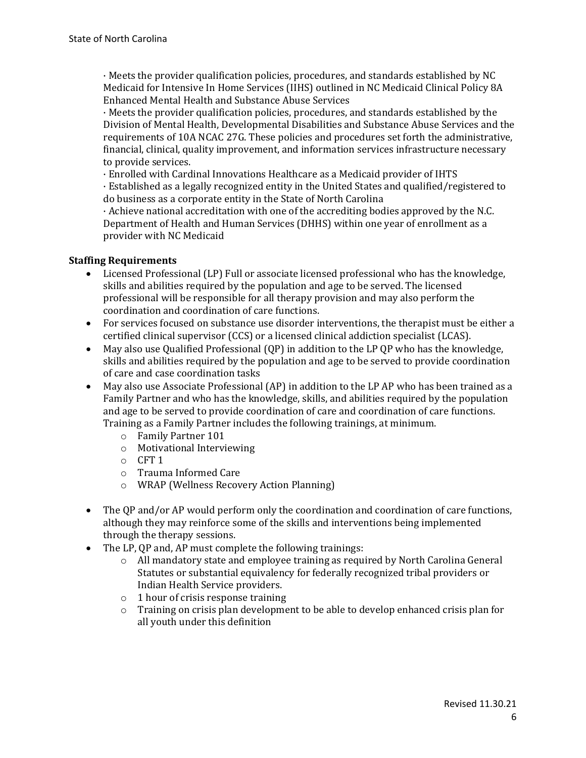· Meets the provider qualification policies, procedures, and standards established by NC Medicaid for Intensive In Home Services (IIHS) outlined in NC Medicaid Clinical Policy 8A Enhanced Mental Health and Substance Abuse Services

· Meets the provider qualification policies, procedures, and standards established by the Division of Mental Health, Developmental Disabilities and Substance Abuse Services and the requirements of 10A NCAC 27G. These policies and procedures set forth the administrative, financial, clinical, quality improvement, and information services infrastructure necessary to provide services.

· Enrolled with Cardinal Innovations Healthcare as a Medicaid provider of IHTS

· Established as a legally recognized entity in the United States and qualified/registered to do business as a corporate entity in the State of North Carolina

· Achieve national accreditation with one of the accrediting bodies approved by the N.C. Department of Health and Human Services (DHHS) within one year of enrollment as a provider with NC Medicaid

### **Staffing Requirements**

- Licensed Professional (LP) Full or associate licensed professional who has the knowledge, skills and abilities required by the population and age to be served. The licensed professional will be responsible for all therapy provision and may also perform the coordination and coordination of care functions.
- For services focused on substance use disorder interventions, the therapist must be either a certified clinical supervisor (CCS) or a licensed clinical addiction specialist (LCAS).
- May also use Qualified Professional (QP) in addition to the LP QP who has the knowledge, skills and abilities required by the population and age to be served to provide coordination of care and case coordination tasks
- May also use Associate Professional (AP) in addition to the LP AP who has been trained as a Family Partner and who has the knowledge, skills, and abilities required by the population and age to be served to provide coordination of care and coordination of care functions. Training as a Family Partner includes the following trainings, at minimum.
	- o Family Partner 101
	- o Motivational Interviewing
	- o CFT 1
	- o Trauma Informed Care
	- o WRAP (Wellness Recovery Action Planning)
- The QP and/or AP would perform only the coordination and coordination of care functions, although they may reinforce some of the skills and interventions being implemented through the therapy sessions.
- The LP, OP and, AP must complete the following trainings:
	- o All mandatory state and employee training as required by North Carolina General Statutes or substantial equivalency for federally recognized tribal providers or Indian Health Service providers.
	- o 1 hour of crisis response training
	- $\circ$  Training on crisis plan development to be able to develop enhanced crisis plan for all youth under this definition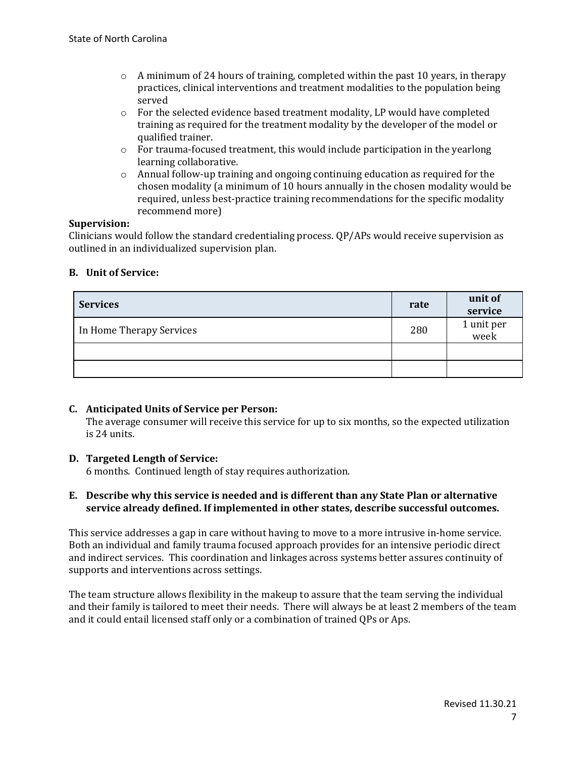- $\circ$  A minimum of 24 hours of training, completed within the past 10 years, in therapy practices, clinical interventions and treatment modalities to the population being served
- $\circ$  For the selected evidence based treatment modality, LP would have completed training as required for the treatment modality by the developer of the model or qualified trainer.
- $\circ$  For trauma-focused treatment, this would include participation in the yearlong learning collaborative.
- o Annual follow-up training and ongoing continuing education as required for the chosen modality (a minimum of 10 hours annually in the chosen modality would be required, unless best-practice training recommendations for the specific modality recommend more)

#### **Supervision:**

Clinicians would follow the standard credentialing process. QP/APs would receive supervision as outlined in an individualized supervision plan.

#### **B. Unit of Service:**

| <b>Services</b>          | rate | unit of<br>service |
|--------------------------|------|--------------------|
| In Home Therapy Services | 280  | 1 unit per<br>week |
|                          |      |                    |
|                          |      |                    |

### **C. Anticipated Units of Service per Person:**

The average consumer will receive this service for up to six months, so the expected utilization is 24 units.

### **D. Targeted Length of Service:**

6 months. Continued length of stay requires authorization.

#### **E. Describe why this service is needed and is different than any State Plan or alternative service already defined. If implemented in other states, describe successful outcomes.**

This service addresses a gap in care without having to move to a more intrusive in-home service. Both an individual and family trauma focused approach provides for an intensive periodic direct and indirect services. This coordination and linkages across systems better assures continuity of supports and interventions across settings.

The team structure allows flexibility in the makeup to assure that the team serving the individual and their family is tailored to meet their needs. There will always be at least 2 members of the team and it could entail licensed staff only or a combination of trained QPs or Aps.